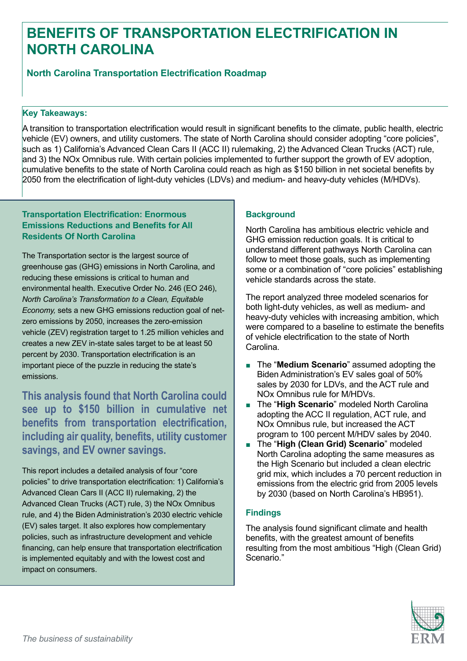# **BENEFITS OF TRANSPORTATION ELECTRIFICATION IN NORTH CAROLINA**

# **North Carolina Transportation Electrification Roadmap**

#### **Key Takeaways:**

A transition to transportation electrification would result in significant benefits to the climate, public health, electric vehicle (EV) owners, and utility customers. The state of North Carolina should consider adopting "core policies", such as 1) California's Advanced Clean Cars II (ACC II) rulemaking, 2) the Advanced Clean Trucks (ACT) rule, and 3) the NOx Omnibus rule. With certain policies implemented to further support the growth of EV adoption, cumulative benefits to the state of North Carolina could reach as high as \$150 billion in net societal benefits by 2050 from the electrification of light-duty vehicles (LDVs) and medium- and heavy-duty vehicles (M/HDVs).

### **Transportation Electrification: Enormous Emissions Reductions and Benefits for All Residents Of North Carolina**

The Transportation sector is the largest source of greenhouse gas (GHG) emissions in North Carolina, and reducing these emissions is critical to human and environmental health. Executive Order No. 246 (EO 246), *North Carolina's Transformation to a Clean, Equitable Economy,* sets a new GHG emissions reduction goal of netzero emissions by 2050, increases the zero-emission vehicle (ZEV) registration target to 1.25 million vehicles and creates a new ZEV in-state sales target to be at least 50 percent by 2030. Transportation electrification is an important piece of the puzzle in reducing the state's emissions.

**This analysis found that North Carolina could see up to \$150 billion in cumulative net benefits from transportation electrification, including air quality, benefits, utility customer savings, and EV owner savings.** 

This report includes a detailed analysis of four "core policies" to drive transportation electrification: 1) California's Advanced Clean Cars II (ACC II) rulemaking, 2) the Advanced Clean Trucks (ACT) rule, 3) the NOx Omnibus rule, and 4) the Biden Administration's 2030 electric vehicle (EV) sales target. It also explores how complementary policies, such as infrastructure development and vehicle financing, can help ensure that transportation electrification is implemented equitably and with the lowest cost and impact on consumers.

## **Background**

North Carolina has ambitious electric vehicle and GHG emission reduction goals. It is critical to understand different pathways North Carolina can follow to meet those goals, such as implementing some or a combination of "core policies" establishing vehicle standards across the state.

The report analyzed three modeled scenarios for both light-duty vehicles, as well as medium- and heavy-duty vehicles with increasing ambition, which were compared to a baseline to estimate the benefits of vehicle electrification to the state of North Carolina.

- The "Medium Scenario" assumed adopting the Biden Administration's EV sales goal of 50% sales by 2030 for LDVs, and the ACT rule and NOx Omnibus rule for M/HDVs.
- The "**High Scenario**" modeled North Carolina adopting the ACC II regulation, ACT rule, and NOx Omnibus rule, but increased the ACT program to 100 percent M/HDV sales by 2040.
- The "**High (Clean Grid) Scenario**" modeled North Carolina adopting the same measures as the High Scenario but included a clean electric grid mix, which includes a 70 percent reduction in emissions from the electric grid from 2005 levels by 2030 (based on North Carolina's HB951).

### **Findings**

The analysis found significant climate and health benefits, with the greatest amount of benefits resulting from the most ambitious "High (Clean Grid) Scenario."